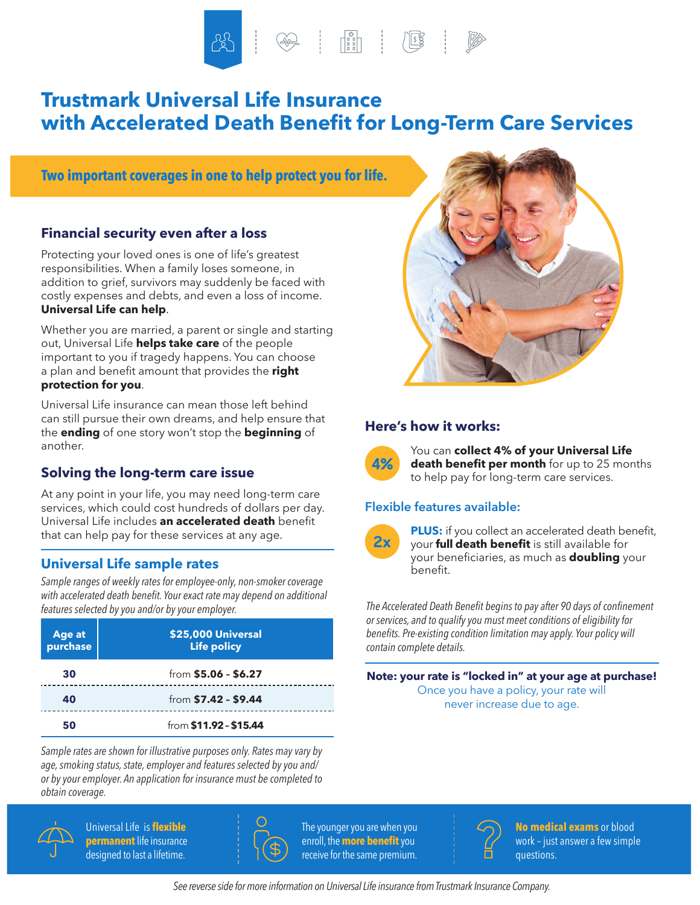# **Trustmark Universal Life Insurance with Accelerated Death Benefit for Long-Term Care Services**

**Two important coverages in one to help protect you for life.**

## **Financial security even after a loss**

Protecting your loved ones is one of life's greatest responsibilities. When a family loses someone, in addition to grief, survivors may suddenly be faced with costly expenses and debts, and even a loss of income. **Universal Life can help**.

Whether you are married, a parent or single and starting out, Universal Life **helps take care** of the people important to you if tragedy happens. You can choose a plan and benefit amount that provides the **right protection for you**.

Universal Life insurance can mean those left behind can still pursue their own dreams, and help ensure that the **ending** of one story won't stop the **beginning** of another.

# **Solving the long-term care issue**

At any point in your life, you may need long-term care services, which could cost hundreds of dollars per day. Universal Life includes **an accelerated death** benefit that can help pay for these services at any age.

# **Universal Life sample rates**

*Sample ranges of weekly rates for employee-only, non-smoker coverage with accelerated death benefit. Your exact rate may depend on additional features selected by you and/or by your employer.*

| Age at<br>purchase | \$25,000 Universal<br><b>Life policy</b> |
|--------------------|------------------------------------------|
| 30                 | from $$5.06 - $6.27$                     |
| 40                 | from \$7.42 - \$9.44                     |
| 50                 | from \$11.92 - \$15.44                   |

*Sample rates are shown for illustrative purposes only. Rates may vary by age, smoking status, state, employer and features selected by you and/ or by your employer. An application for insurance must be completed to obtain coverage.*



 Universal Life is **flexible permanent** life insurance designed to last a lifetime.



 The younger you are when you enroll, the **more benefit**you receive for the same premium.



## **Here's how it works:**



You can **collect 4% of your Universal Life death benefit per month** for up to 25 months to help pay for long-term care services.

## **Flexible features available:**



**PLUS:** if you collect an accelerated death benefit, your **full death benefit** is still available for your beneficiaries, as much as **doubling** your benefit.

*The Accelerated Death Benefit begins to pay after 90 days of confinement or services, and to qualify you must meet conditions of eligibility for benefits. Pre-existing condition limitation may apply. Your policy will contain complete details.*

**Note: your rate is "locked in" at your age at purchase!** Once you have a policy, your rate will never increase due to age.



**No medical exams** or blood work – just answer a few simple questions.

*See reverse side for more information on Universal Life insurance from Trustmark Insurance Company.*